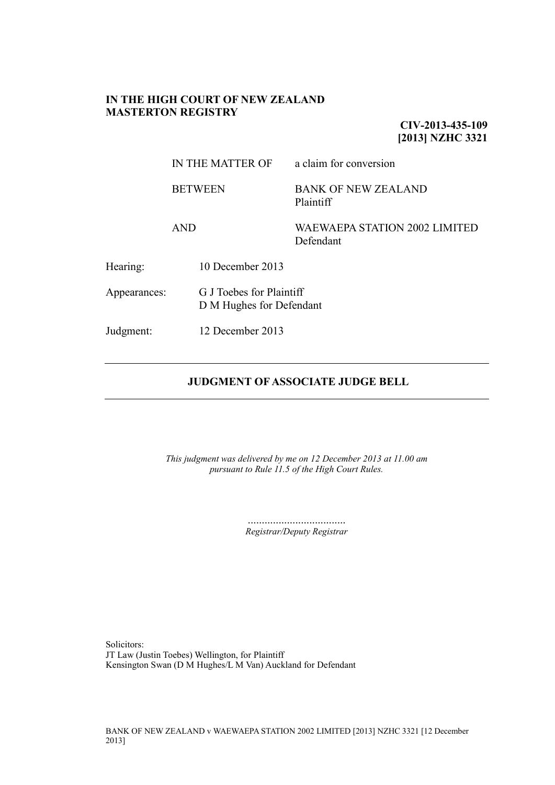## **IN THE HIGH COURT OF NEW ZEALAND MASTERTON REGISTRY**

**CIV-2013-435-109 [2013] NZHC 3321**

|              | IN THE MATTER OF<br><b>BETWEEN</b><br><b>AND</b> |                                                      | a claim for conversion                            |  |
|--------------|--------------------------------------------------|------------------------------------------------------|---------------------------------------------------|--|
|              |                                                  |                                                      | <b>BANK OF NEW ZEALAND</b><br>Plaintiff           |  |
|              |                                                  |                                                      | <b>WAEWAEPA STATION 2002 LIMITED</b><br>Defendant |  |
| Hearing:     |                                                  | 10 December 2013                                     |                                                   |  |
| Appearances: |                                                  | G J Toebes for Plaintiff<br>D M Hughes for Defendant |                                                   |  |
| Judgment:    |                                                  | 12 December 2013                                     |                                                   |  |

### **JUDGMENT OF ASSOCIATE JUDGE BELL**

*This judgment was delivered by me on 12 December 2013 at 11.00 am pursuant to Rule 11.5 of the High Court Rules.*

> ................................... *Registrar/Deputy Registrar*

Solicitors: JT Law (Justin Toebes) Wellington, for Plaintiff Kensington Swan (D M Hughes/L M Van) Auckland for Defendant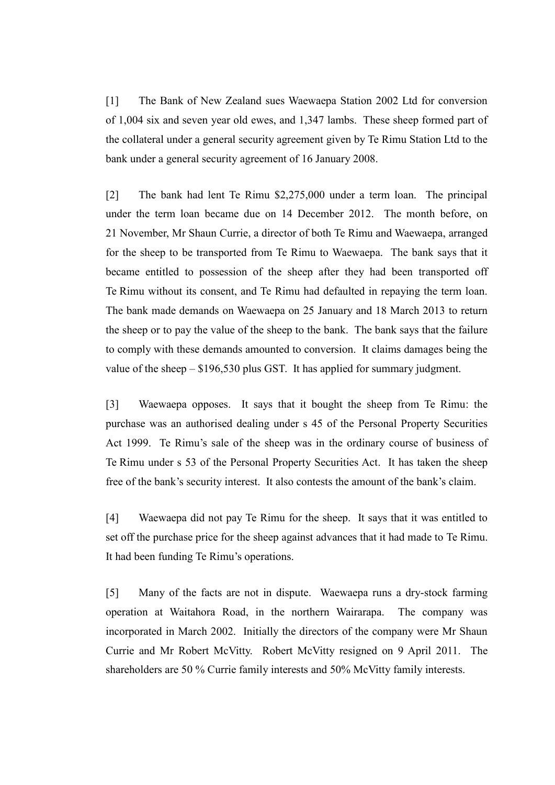[1] The Bank of New Zealand sues Waewaepa Station 2002 Ltd for conversion of 1,004 six and seven year old ewes, and 1,347 lambs. These sheep formed part of the collateral under a general security agreement given by Te Rimu Station Ltd to the bank under a general security agreement of 16 January 2008.

[2] The bank had lent Te Rimu \$2,275,000 under a term loan. The principal under the term loan became due on 14 December 2012. The month before, on 21 November, Mr Shaun Currie, a director of both Te Rimu and Waewaepa, arranged for the sheep to be transported from Te Rimu to Waewaepa. The bank says that it became entitled to possession of the sheep after they had been transported off Te Rimu without its consent, and Te Rimu had defaulted in repaying the term loan. The bank made demands on Waewaepa on 25 January and 18 March 2013 to return the sheep or to pay the value of the sheep to the bank. The bank says that the failure to comply with these demands amounted to conversion. It claims damages being the value of the sheep – \$196,530 plus GST. It has applied for summary judgment.

[3] Waewaepa opposes. It says that it bought the sheep from Te Rimu: the purchase was an authorised dealing under s 45 of the Personal Property Securities Act 1999. Te Rimu's sale of the sheep was in the ordinary course of business of Te Rimu under s 53 of the Personal Property Securities Act. It has taken the sheep free of the bank's security interest. It also contests the amount of the bank's claim.

[4] Waewaepa did not pay Te Rimu for the sheep. It says that it was entitled to set off the purchase price for the sheep against advances that it had made to Te Rimu. It had been funding Te Rimu's operations.

[5] Many of the facts are not in dispute. Waewaepa runs a dry-stock farming operation at Waitahora Road, in the northern Wairarapa. The company was incorporated in March 2002. Initially the directors of the company were Mr Shaun Currie and Mr Robert McVitty. Robert McVitty resigned on 9 April 2011. The shareholders are 50 % Currie family interests and 50% McVitty family interests.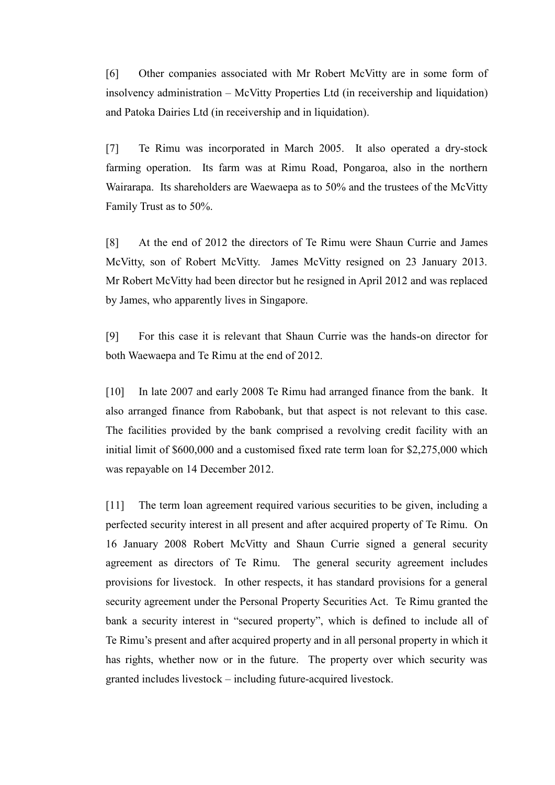[6] Other companies associated with Mr Robert McVitty are in some form of insolvency administration – McVitty Properties Ltd (in receivership and liquidation) and Patoka Dairies Ltd (in receivership and in liquidation).

[7] Te Rimu was incorporated in March 2005. It also operated a dry-stock farming operation. Its farm was at Rimu Road, Pongaroa, also in the northern Wairarapa. Its shareholders are Waewaepa as to 50% and the trustees of the McVitty Family Trust as to 50%.

[8] At the end of 2012 the directors of Te Rimu were Shaun Currie and James McVitty, son of Robert McVitty. James McVitty resigned on 23 January 2013. Mr Robert McVitty had been director but he resigned in April 2012 and was replaced by James, who apparently lives in Singapore.

[9] For this case it is relevant that Shaun Currie was the hands-on director for both Waewaepa and Te Rimu at the end of 2012.

[10] In late 2007 and early 2008 Te Rimu had arranged finance from the bank. It also arranged finance from Rabobank, but that aspect is not relevant to this case. The facilities provided by the bank comprised a revolving credit facility with an initial limit of \$600,000 and a customised fixed rate term loan for \$2,275,000 which was repayable on 14 December 2012.

[11] The term loan agreement required various securities to be given, including a perfected security interest in all present and after acquired property of Te Rimu. On 16 January 2008 Robert McVitty and Shaun Currie signed a general security agreement as directors of Te Rimu. The general security agreement includes provisions for livestock. In other respects, it has standard provisions for a general security agreement under the Personal Property Securities Act. Te Rimu granted the bank a security interest in "secured property", which is defined to include all of Te Rimu's present and after acquired property and in all personal property in which it has rights, whether now or in the future. The property over which security was granted includes livestock – including future-acquired livestock.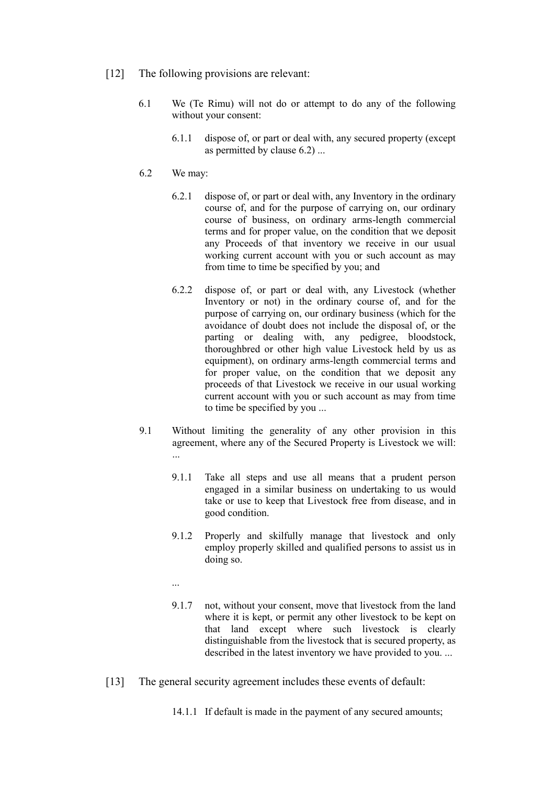- [12] The following provisions are relevant:
	- 6.1 We (Te Rimu) will not do or attempt to do any of the following without your consent:
		- 6.1.1 dispose of, or part or deal with, any secured property (except as permitted by clause 6.2) ...
	- 6.2 We may:
		- 6.2.1 dispose of, or part or deal with, any Inventory in the ordinary course of, and for the purpose of carrying on, our ordinary course of business, on ordinary arms-length commercial terms and for proper value, on the condition that we deposit any Proceeds of that inventory we receive in our usual working current account with you or such account as may from time to time be specified by you; and
		- 6.2.2 dispose of, or part or deal with, any Livestock (whether Inventory or not) in the ordinary course of, and for the purpose of carrying on, our ordinary business (which for the avoidance of doubt does not include the disposal of, or the parting or dealing with, any pedigree, bloodstock, thoroughbred or other high value Livestock held by us as equipment), on ordinary arms-length commercial terms and for proper value, on the condition that we deposit any proceeds of that Livestock we receive in our usual working current account with you or such account as may from time to time be specified by you ...
	- 9.1 Without limiting the generality of any other provision in this agreement, where any of the Secured Property is Livestock we will: ...
		- 9.1.1 Take all steps and use all means that a prudent person engaged in a similar business on undertaking to us would take or use to keep that Livestock free from disease, and in good condition.
		- 9.1.2 Properly and skilfully manage that livestock and only employ properly skilled and qualified persons to assist us in doing so.
		- ...
		- 9.1.7 not, without your consent, move that livestock from the land where it is kept, or permit any other livestock to be kept on that land except where such livestock is clearly distinguishable from the livestock that is secured property, as described in the latest inventory we have provided to you. ...
- [13] The general security agreement includes these events of default:
	- 14.1.1 If default is made in the payment of any secured amounts;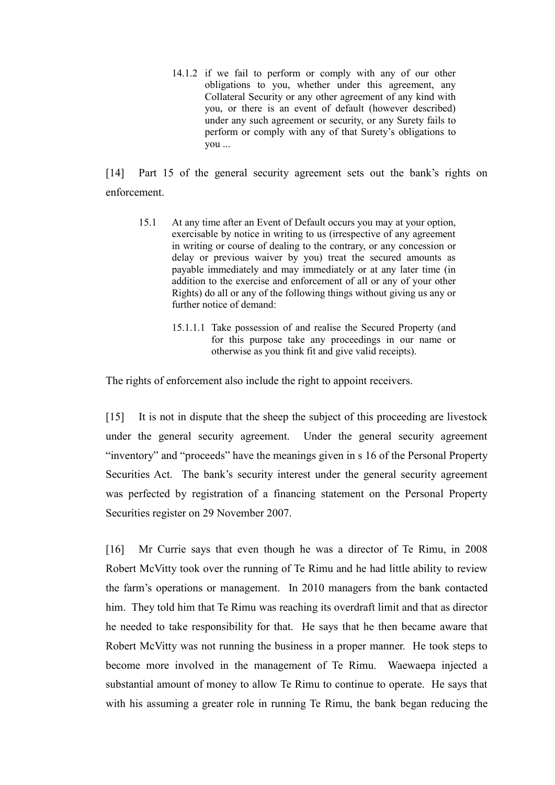14.1.2 if we fail to perform or comply with any of our other obligations to you, whether under this agreement, any Collateral Security or any other agreement of any kind with you, or there is an event of default (however described) under any such agreement or security, or any Surety fails to perform or comply with any of that Surety's obligations to you ...

[14] Part 15 of the general security agreement sets out the bank's rights on enforcement.

- 15.1 At any time after an Event of Default occurs you may at your option, exercisable by notice in writing to us (irrespective of any agreement in writing or course of dealing to the contrary, or any concession or delay or previous waiver by you) treat the secured amounts as payable immediately and may immediately or at any later time (in addition to the exercise and enforcement of all or any of your other Rights) do all or any of the following things without giving us any or further notice of demand:
	- 15.1.1.1 Take possession of and realise the Secured Property (and for this purpose take any proceedings in our name or otherwise as you think fit and give valid receipts).

The rights of enforcement also include the right to appoint receivers.

[15] It is not in dispute that the sheep the subject of this proceeding are livestock under the general security agreement. Under the general security agreement "inventory" and "proceeds" have the meanings given in s 16 of the Personal Property Securities Act. The bank's security interest under the general security agreement was perfected by registration of a financing statement on the Personal Property Securities register on 29 November 2007.

[16] Mr Currie says that even though he was a director of Te Rimu, in 2008 Robert McVitty took over the running of Te Rimu and he had little ability to review the farm's operations or management. In 2010 managers from the bank contacted him. They told him that Te Rimu was reaching its overdraft limit and that as director he needed to take responsibility for that. He says that he then became aware that Robert McVitty was not running the business in a proper manner. He took steps to become more involved in the management of Te Rimu. Waewaepa injected a substantial amount of money to allow Te Rimu to continue to operate. He says that with his assuming a greater role in running Te Rimu, the bank began reducing the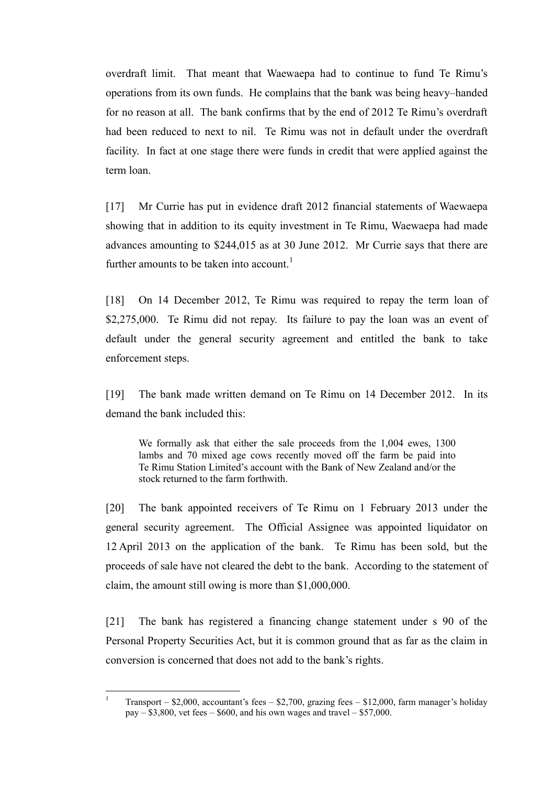overdraft limit. That meant that Waewaepa had to continue to fund Te Rimu's operations from its own funds. He complains that the bank was being heavy–handed for no reason at all. The bank confirms that by the end of 2012 Te Rimu's overdraft had been reduced to next to nil. Te Rimu was not in default under the overdraft facility. In fact at one stage there were funds in credit that were applied against the term loan.

[17] Mr Currie has put in evidence draft 2012 financial statements of Waewaepa showing that in addition to its equity investment in Te Rimu, Waewaepa had made advances amounting to \$244,015 as at 30 June 2012. Mr Currie says that there are further amounts to be taken into account.<sup>1</sup>

[18] On 14 December 2012, Te Rimu was required to repay the term loan of \$2,275,000. Te Rimu did not repay. Its failure to pay the loan was an event of default under the general security agreement and entitled the bank to take enforcement steps.

[19] The bank made written demand on Te Rimu on 14 December 2012. In its demand the bank included this:

We formally ask that either the sale proceeds from the 1,004 ewes, 1300 lambs and 70 mixed age cows recently moved off the farm be paid into Te Rimu Station Limited's account with the Bank of New Zealand and/or the stock returned to the farm forthwith.

[20] The bank appointed receivers of Te Rimu on 1 February 2013 under the general security agreement. The Official Assignee was appointed liquidator on 12 April 2013 on the application of the bank. Te Rimu has been sold, but the proceeds of sale have not cleared the debt to the bank. According to the statement of claim, the amount still owing is more than \$1,000,000.

[21] The bank has registered a financing change statement under s 90 of the Personal Property Securities Act, but it is common ground that as far as the claim in conversion is concerned that does not add to the bank's rights.

 $\mathbf{1}$ <sup>1</sup> Transport – \$2,000, accountant's fees – \$2,700, grazing fees – \$12,000, farm manager's holiday  $pay - $3,800$ , vet fees  $- $600$ , and his own wages and travel  $- $57,000$ .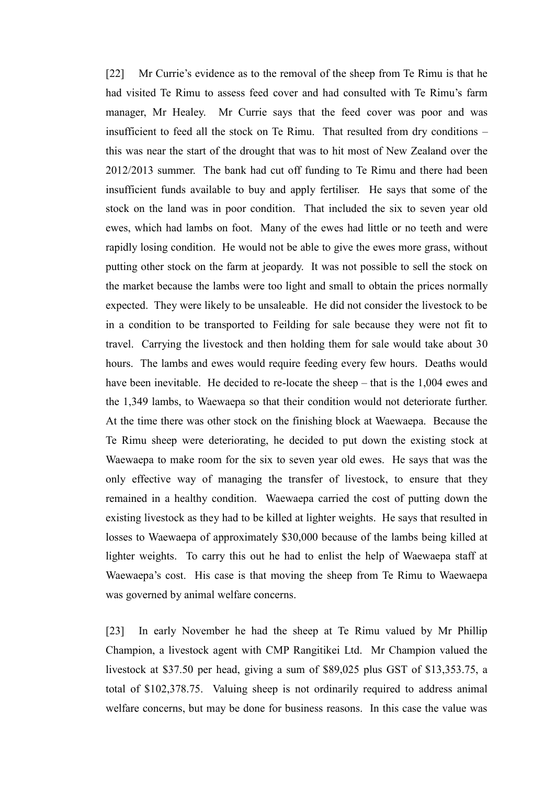[22] Mr Currie's evidence as to the removal of the sheep from Te Rimu is that he had visited Te Rimu to assess feed cover and had consulted with Te Rimu's farm manager, Mr Healey. Mr Currie says that the feed cover was poor and was insufficient to feed all the stock on Te Rimu. That resulted from dry conditions – this was near the start of the drought that was to hit most of New Zealand over the 2012/2013 summer. The bank had cut off funding to Te Rimu and there had been insufficient funds available to buy and apply fertiliser. He says that some of the stock on the land was in poor condition. That included the six to seven year old ewes, which had lambs on foot. Many of the ewes had little or no teeth and were rapidly losing condition. He would not be able to give the ewes more grass, without putting other stock on the farm at jeopardy. It was not possible to sell the stock on the market because the lambs were too light and small to obtain the prices normally expected. They were likely to be unsaleable. He did not consider the livestock to be in a condition to be transported to Feilding for sale because they were not fit to travel. Carrying the livestock and then holding them for sale would take about 30 hours. The lambs and ewes would require feeding every few hours. Deaths would have been inevitable. He decided to re-locate the sheep – that is the 1,004 ewes and the 1,349 lambs, to Waewaepa so that their condition would not deteriorate further. At the time there was other stock on the finishing block at Waewaepa. Because the Te Rimu sheep were deteriorating, he decided to put down the existing stock at Waewaepa to make room for the six to seven year old ewes. He says that was the only effective way of managing the transfer of livestock, to ensure that they remained in a healthy condition. Waewaepa carried the cost of putting down the existing livestock as they had to be killed at lighter weights. He says that resulted in losses to Waewaepa of approximately \$30,000 because of the lambs being killed at lighter weights. To carry this out he had to enlist the help of Waewaepa staff at Waewaepa's cost. His case is that moving the sheep from Te Rimu to Waewaepa was governed by animal welfare concerns.

[23] In early November he had the sheep at Te Rimu valued by Mr Phillip Champion, a livestock agent with CMP Rangitikei Ltd. Mr Champion valued the livestock at \$37.50 per head, giving a sum of \$89,025 plus GST of \$13,353.75, a total of \$102,378.75. Valuing sheep is not ordinarily required to address animal welfare concerns, but may be done for business reasons. In this case the value was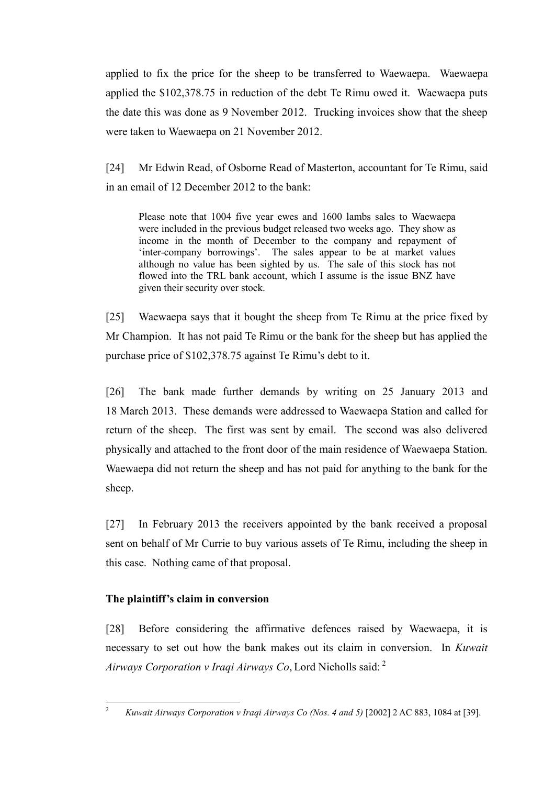applied to fix the price for the sheep to be transferred to Waewaepa. Waewaepa applied the \$102,378.75 in reduction of the debt Te Rimu owed it. Waewaepa puts the date this was done as 9 November 2012. Trucking invoices show that the sheep were taken to Waewaepa on 21 November 2012.

[24] Mr Edwin Read, of Osborne Read of Masterton, accountant for Te Rimu, said in an email of 12 December 2012 to the bank:

Please note that 1004 five year ewes and 1600 lambs sales to Waewaepa were included in the previous budget released two weeks ago. They show as income in the month of December to the company and repayment of 'inter-company borrowings'. The sales appear to be at market values although no value has been sighted by us. The sale of this stock has not flowed into the TRL bank account, which I assume is the issue BNZ have given their security over stock.

[25] Waewaepa says that it bought the sheep from Te Rimu at the price fixed by Mr Champion. It has not paid Te Rimu or the bank for the sheep but has applied the purchase price of \$102,378.75 against Te Rimu's debt to it.

[26] The bank made further demands by writing on 25 January 2013 and 18 March 2013. These demands were addressed to Waewaepa Station and called for return of the sheep. The first was sent by email. The second was also delivered physically and attached to the front door of the main residence of Waewaepa Station. Waewaepa did not return the sheep and has not paid for anything to the bank for the sheep.

[27] In February 2013 the receivers appointed by the bank received a proposal sent on behalf of Mr Currie to buy various assets of Te Rimu, including the sheep in this case. Nothing came of that proposal.

# **The plaintiff's claim in conversion**

[28] Before considering the affirmative defences raised by Waewaepa, it is necessary to set out how the bank makes out its claim in conversion. In *Kuwait Airways Corporation v Iraqi Airways Co*, Lord Nicholls said: <sup>2</sup>

 $\overline{2}$ <sup>2</sup> *Kuwait Airways Corporation v Iraqi Airways Co (Nos. 4 and 5)* [2002] 2 AC 883, 1084 at [39].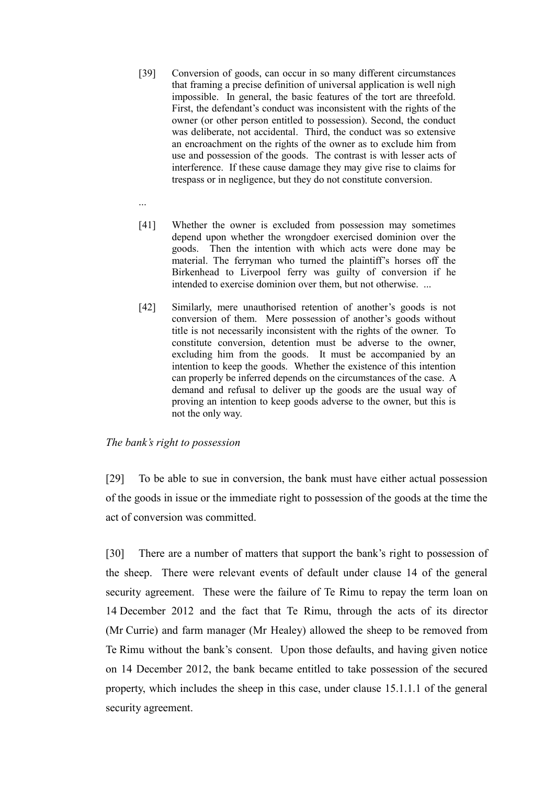- [39] Conversion of goods, can occur in so many different circumstances that framing a precise definition of universal application is well nigh impossible. In general, the basic features of the tort are threefold. First, the defendant's conduct was inconsistent with the rights of the owner (or other person entitled to possession). Second, the conduct was deliberate, not accidental. Third, the conduct was so extensive an encroachment on the rights of the owner as to exclude him from use and possession of the goods. The contrast is with lesser acts of interference. If these cause damage they may give rise to claims for trespass or in negligence, but they do not constitute conversion.
- ...
- [41] Whether the owner is excluded from possession may sometimes depend upon whether the wrongdoer exercised dominion over the goods. Then the intention with which acts were done may be material. The ferryman who turned the plaintiff's horses off the Birkenhead to Liverpool ferry was guilty of conversion if he intended to exercise dominion over them, but not otherwise. ...
- [42] Similarly, mere unauthorised retention of another's goods is not conversion of them. Mere possession of another's goods without title is not necessarily inconsistent with the rights of the owner. To constitute conversion, detention must be adverse to the owner, excluding him from the goods. It must be accompanied by an intention to keep the goods. Whether the existence of this intention can properly be inferred depends on the circumstances of the case. A demand and refusal to deliver up the goods are the usual way of proving an intention to keep goods adverse to the owner, but this is not the only way.

## *The bank's right to possession*

[29] To be able to sue in conversion, the bank must have either actual possession of the goods in issue or the immediate right to possession of the goods at the time the act of conversion was committed.

[30] There are a number of matters that support the bank's right to possession of the sheep. There were relevant events of default under clause 14 of the general security agreement. These were the failure of Te Rimu to repay the term loan on 14 December 2012 and the fact that Te Rimu, through the acts of its director (Mr Currie) and farm manager (Mr Healey) allowed the sheep to be removed from Te Rimu without the bank's consent. Upon those defaults, and having given notice on 14 December 2012, the bank became entitled to take possession of the secured property, which includes the sheep in this case, under clause 15.1.1.1 of the general security agreement.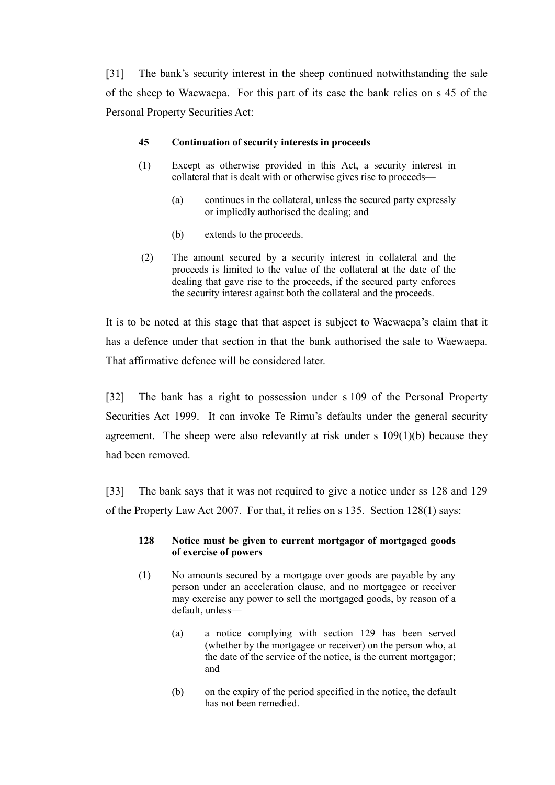[31] The bank's security interest in the sheep continued notwithstanding the sale of the sheep to Waewaepa. For this part of its case the bank relies on s 45 of the Personal Property Securities Act:

### **45 Continuation of security interests in proceeds**

- (1) Except as otherwise provided in this Act, a security interest in collateral that is dealt with or otherwise gives rise to proceeds—
	- (a) continues in the collateral, unless the secured party expressly or impliedly authorised the dealing; and
	- (b) extends to the proceeds.
- (2) The amount secured by a security interest in collateral and the proceeds is limited to the value of the collateral at the date of the dealing that gave rise to the proceeds, if the secured party enforces the security interest against both the collateral and the proceeds.

It is to be noted at this stage that that aspect is subject to Waewaepa's claim that it has a defence under that section in that the bank authorised the sale to Waewaepa. That affirmative defence will be considered later.

[32] The bank has a right to possession under s 109 of the Personal Property Securities Act 1999. It can invoke Te Rimu's defaults under the general security agreement. The sheep were also relevantly at risk under s 109(1)(b) because they had been removed.

[33] The bank says that it was not required to give a notice under ss 128 and 129 of the Property Law Act 2007. For that, it relies on s 135. Section 128(1) says:

### **128 Notice must be given to current mortgagor of mortgaged goods of exercise of powers**

- (1) No amounts secured by a mortgage over goods are payable by any person under an acceleration clause, and no mortgagee or receiver may exercise any power to sell the mortgaged goods, by reason of a default, unless—
	- (a) a notice complying with section 129 has been served (whether by the mortgagee or receiver) on the person who, at the date of the service of the notice, is the current mortgagor; and
	- (b) on the expiry of the period specified in the notice, the default has not been remedied.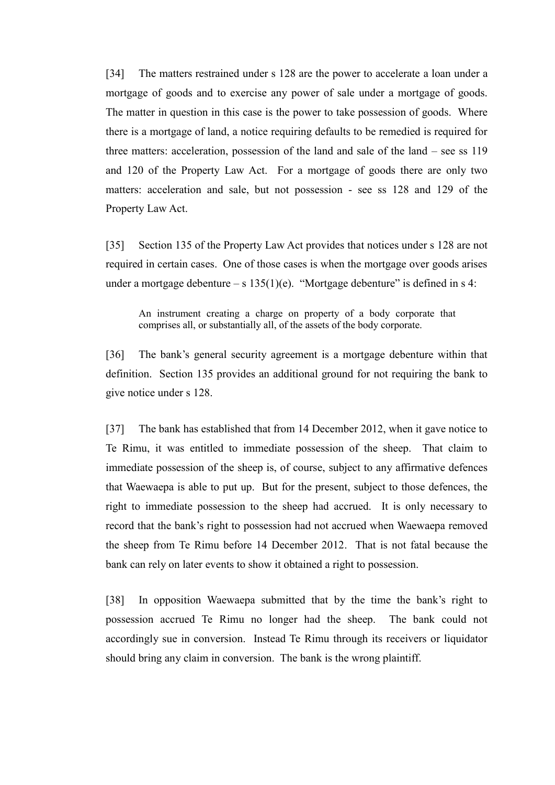[34] The matters restrained under s 128 are the power to accelerate a loan under a mortgage of goods and to exercise any power of sale under a mortgage of goods. The matter in question in this case is the power to take possession of goods. Where there is a mortgage of land, a notice requiring defaults to be remedied is required for three matters: acceleration, possession of the land and sale of the land  $-$  see ss 119 and 120 of the Property Law Act. For a mortgage of goods there are only two matters: acceleration and sale, but not possession - see ss 128 and 129 of the Property Law Act.

[35] Section 135 of the Property Law Act provides that notices under s 128 are not required in certain cases. One of those cases is when the mortgage over goods arises under a mortgage debenture – s  $135(1)(e)$ . "Mortgage debenture" is defined in s 4:

An instrument creating a charge on property of a body corporate that comprises all, or substantially all, of the assets of the body corporate.

[36] The bank's general security agreement is a mortgage debenture within that definition. Section 135 provides an additional ground for not requiring the bank to give notice under s 128.

[37] The bank has established that from 14 December 2012, when it gave notice to Te Rimu, it was entitled to immediate possession of the sheep. That claim to immediate possession of the sheep is, of course, subject to any affirmative defences that Waewaepa is able to put up. But for the present, subject to those defences, the right to immediate possession to the sheep had accrued. It is only necessary to record that the bank's right to possession had not accrued when Waewaepa removed the sheep from Te Rimu before 14 December 2012. That is not fatal because the bank can rely on later events to show it obtained a right to possession.

[38] In opposition Waewaepa submitted that by the time the bank's right to possession accrued Te Rimu no longer had the sheep. The bank could not accordingly sue in conversion. Instead Te Rimu through its receivers or liquidator should bring any claim in conversion. The bank is the wrong plaintiff.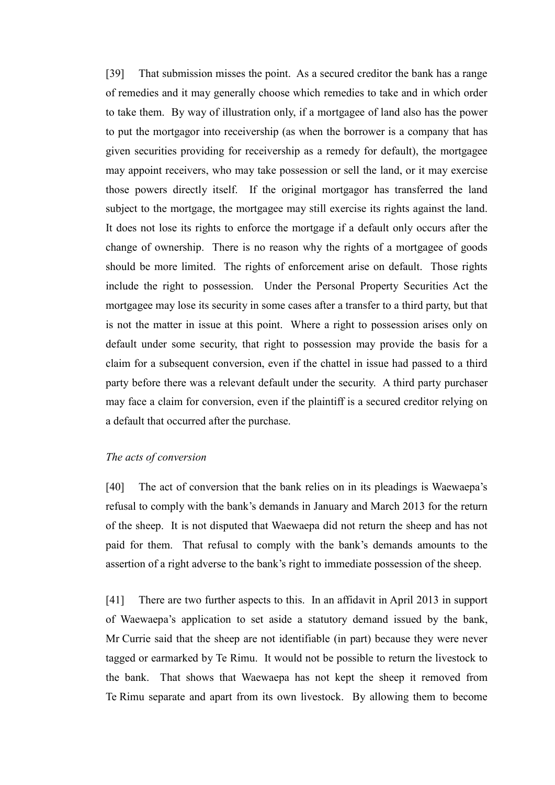[39] That submission misses the point. As a secured creditor the bank has a range of remedies and it may generally choose which remedies to take and in which order to take them. By way of illustration only, if a mortgagee of land also has the power to put the mortgagor into receivership (as when the borrower is a company that has given securities providing for receivership as a remedy for default), the mortgagee may appoint receivers, who may take possession or sell the land, or it may exercise those powers directly itself. If the original mortgagor has transferred the land subject to the mortgage, the mortgagee may still exercise its rights against the land. It does not lose its rights to enforce the mortgage if a default only occurs after the change of ownership. There is no reason why the rights of a mortgagee of goods should be more limited. The rights of enforcement arise on default. Those rights include the right to possession. Under the Personal Property Securities Act the mortgagee may lose its security in some cases after a transfer to a third party, but that is not the matter in issue at this point. Where a right to possession arises only on default under some security, that right to possession may provide the basis for a claim for a subsequent conversion, even if the chattel in issue had passed to a third party before there was a relevant default under the security. A third party purchaser may face a claim for conversion, even if the plaintiff is a secured creditor relying on a default that occurred after the purchase.

#### *The acts of conversion*

[40] The act of conversion that the bank relies on in its pleadings is Waewaepa's refusal to comply with the bank's demands in January and March 2013 for the return of the sheep. It is not disputed that Waewaepa did not return the sheep and has not paid for them. That refusal to comply with the bank's demands amounts to the assertion of a right adverse to the bank's right to immediate possession of the sheep.

[41] There are two further aspects to this. In an affidavit in April 2013 in support of Waewaepa's application to set aside a statutory demand issued by the bank, Mr Currie said that the sheep are not identifiable (in part) because they were never tagged or earmarked by Te Rimu. It would not be possible to return the livestock to the bank. That shows that Waewaepa has not kept the sheep it removed from Te Rimu separate and apart from its own livestock. By allowing them to become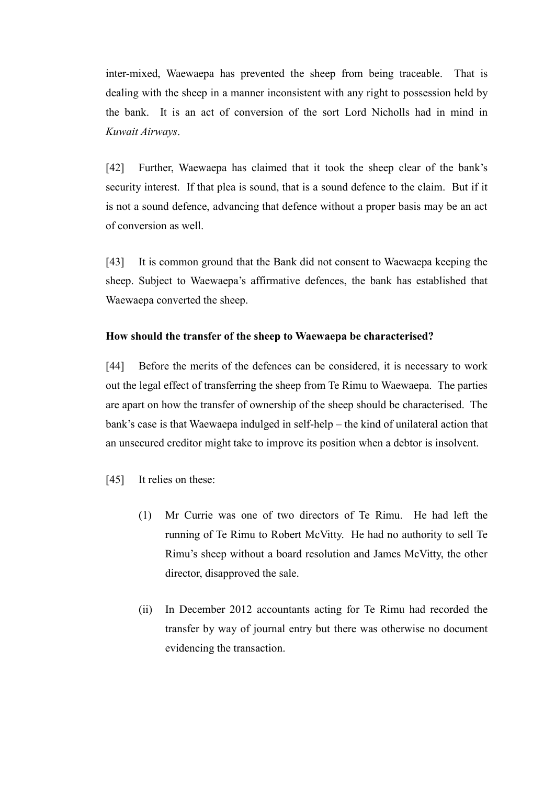inter-mixed, Waewaepa has prevented the sheep from being traceable. That is dealing with the sheep in a manner inconsistent with any right to possession held by the bank. It is an act of conversion of the sort Lord Nicholls had in mind in *Kuwait Airways*.

[42] Further, Waewaepa has claimed that it took the sheep clear of the bank's security interest. If that plea is sound, that is a sound defence to the claim. But if it is not a sound defence, advancing that defence without a proper basis may be an act of conversion as well.

[43] It is common ground that the Bank did not consent to Waewaepa keeping the sheep. Subject to Waewaepa's affirmative defences, the bank has established that Waewaepa converted the sheep.

#### **How should the transfer of the sheep to Waewaepa be characterised?**

[44] Before the merits of the defences can be considered, it is necessary to work out the legal effect of transferring the sheep from Te Rimu to Waewaepa. The parties are apart on how the transfer of ownership of the sheep should be characterised. The bank's case is that Waewaepa indulged in self-help – the kind of unilateral action that an unsecured creditor might take to improve its position when a debtor is insolvent.

- [45] It relies on these:
	- (1) Mr Currie was one of two directors of Te Rimu. He had left the running of Te Rimu to Robert McVitty. He had no authority to sell Te Rimu's sheep without a board resolution and James McVitty, the other director, disapproved the sale.
	- (ii) In December 2012 accountants acting for Te Rimu had recorded the transfer by way of journal entry but there was otherwise no document evidencing the transaction.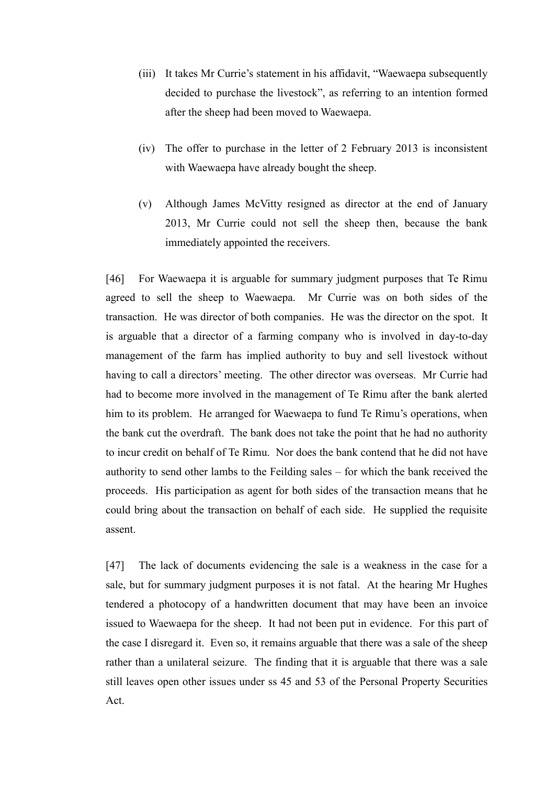- (iii) It takes Mr Currie's statement in his affidavit, "Waewaepa subsequently decided to purchase the livestock", as referring to an intention formed after the sheep had been moved to Waewaepa.
- (iv) The offer to purchase in the letter of 2 February 2013 is inconsistent with Waewaepa have already bought the sheep.
- (v) Although James McVitty resigned as director at the end of January 2013, Mr Currie could not sell the sheep then, because the bank immediately appointed the receivers.

[46] For Waewaepa it is arguable for summary judgment purposes that Te Rimu agreed to sell the sheep to Waewaepa. Mr Currie was on both sides of the transaction. He was director of both companies. He was the director on the spot. It is arguable that a director of a farming company who is involved in day-to-day management of the farm has implied authority to buy and sell livestock without having to call a directors' meeting. The other director was overseas. Mr Currie had had to become more involved in the management of Te Rimu after the bank alerted him to its problem. He arranged for Waewaepa to fund Te Rimu's operations, when the bank cut the overdraft. The bank does not take the point that he had no authority to incur credit on behalf of Te Rimu. Nor does the bank contend that he did not have authority to send other lambs to the Feilding sales – for which the bank received the proceeds. His participation as agent for both sides of the transaction means that he could bring about the transaction on behalf of each side. He supplied the requisite assent.

[47] The lack of documents evidencing the sale is a weakness in the case for a sale, but for summary judgment purposes it is not fatal. At the hearing Mr Hughes tendered a photocopy of a handwritten document that may have been an invoice issued to Waewaepa for the sheep. It had not been put in evidence. For this part of the case I disregard it. Even so, it remains arguable that there was a sale of the sheep rather than a unilateral seizure. The finding that it is arguable that there was a sale still leaves open other issues under ss 45 and 53 of the Personal Property Securities Act.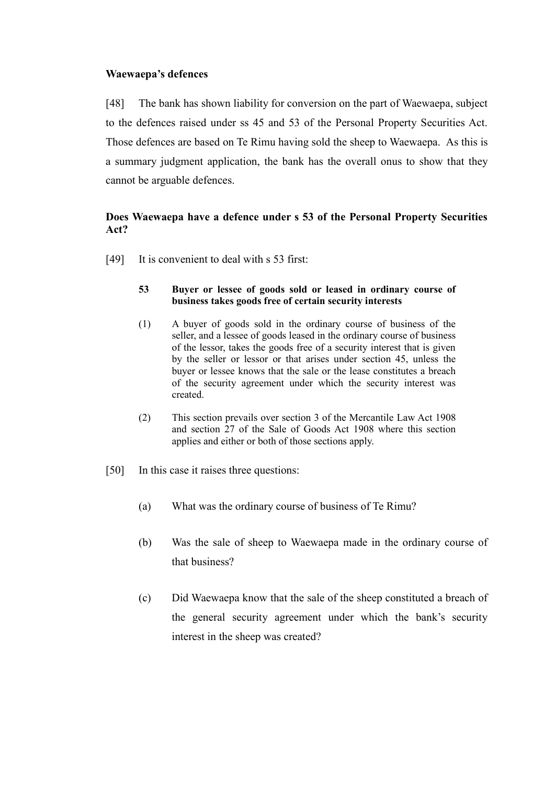### **Waewaepa's defences**

[48] The bank has shown liability for conversion on the part of Waewaepa, subject to the defences raised under ss 45 and 53 of the Personal Property Securities Act. Those defences are based on Te Rimu having sold the sheep to Waewaepa. As this is a summary judgment application, the bank has the overall onus to show that they cannot be arguable defences.

## **Does Waewaepa have a defence under s 53 of the Personal Property Securities Act?**

[49] It is convenient to deal with s 53 first:

#### **53 Buyer or lessee of goods sold or leased in ordinary course of business takes goods free of certain security interests**

- (1) A buyer of goods sold in the ordinary course of business of the seller, and a lessee of goods leased in the ordinary course of business of the lessor, takes the goods free of a security interest that is given by the seller or lessor or that arises under section 45, unless the buyer or lessee knows that the sale or the lease constitutes a breach of the security agreement under which the security interest was created.
- (2) This section prevails over section 3 of the Mercantile Law Act 1908 and section 27 of the Sale of Goods Act 1908 where this section applies and either or both of those sections apply.
- [50] In this case it raises three questions:
	- (a) What was the ordinary course of business of Te Rimu?
	- (b) Was the sale of sheep to Waewaepa made in the ordinary course of that business?
	- (c) Did Waewaepa know that the sale of the sheep constituted a breach of the general security agreement under which the bank's security interest in the sheep was created?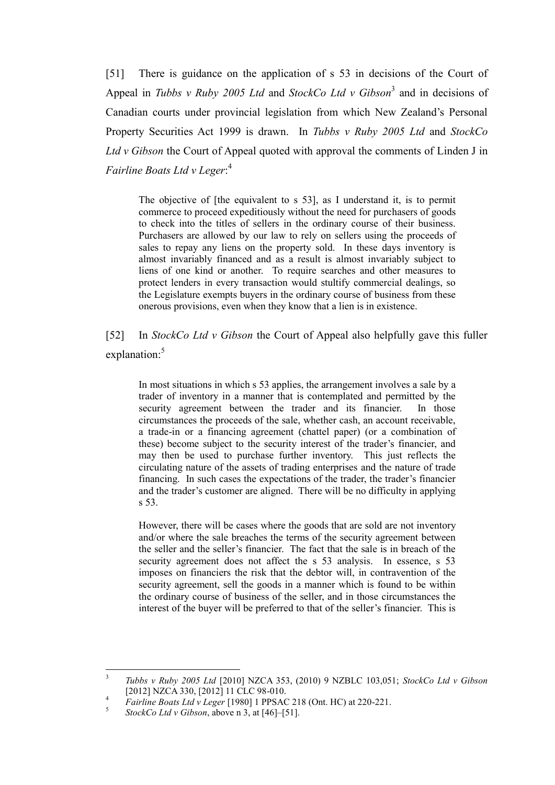[51] There is guidance on the application of s 53 in decisions of the Court of Appeal in *Tubbs v Ruby 2005 Ltd* and *StockCo Ltd v Gibson*<sup>3</sup> and in decisions of Canadian courts under provincial legislation from which New Zealand's Personal Property Securities Act 1999 is drawn. In *Tubbs v Ruby 2005 Ltd* and *StockCo Ltd v Gibson* the Court of Appeal quoted with approval the comments of Linden J in *Fairline Boats Ltd v Leger*: 4

<span id="page-15-1"></span><span id="page-15-0"></span>The objective of [the equivalent to s 53], as I understand it, is to permit commerce to proceed expeditiously without the need for purchasers of goods to check into the titles of sellers in the ordinary course of their business. Purchasers are allowed by our law to rely on sellers using the proceeds of sales to repay any liens on the property sold. In these days inventory is almost invariably financed and as a result is almost invariably subject to liens of one kind or another. To require searches and other measures to protect lenders in every transaction would stultify commercial dealings, so the Legislature exempts buyers in the ordinary course of business from these onerous provisions, even when they know that a lien is in existence.

[52] In *StockCo Ltd v Gibson* the Court of Appeal also helpfully gave this fuller explanation:<sup>5</sup>

In most situations in which s 53 applies, the arrangement involves a sale by a trader of inventory in a manner that is contemplated and permitted by the security agreement between the trader and its financier. In those circumstances the proceeds of the sale, whether cash, an account receivable, a trade-in or a financing agreement (chattel paper) (or a combination of these) become subject to the security interest of the trader's financier, and may then be used to purchase further inventory. This just reflects the circulating nature of the assets of trading enterprises and the nature of trade financing. In such cases the expectations of the trader, the trader's financier and the trader's customer are aligned. There will be no difficulty in applying s 53.

However, there will be cases where the goods that are sold are not inventory and/or where the sale breaches the terms of the security agreement between the seller and the seller's financier. The fact that the sale is in breach of the security agreement does not affect the s 53 analysis. In essence, s 53 imposes on financiers the risk that the debtor will, in contravention of the security agreement, sell the goods in a manner which is found to be within the ordinary course of business of the seller, and in those circumstances the interest of the buyer will be preferred to that of the seller's financier. This is

 $\frac{1}{3}$ *Tubbs v Ruby 2005 Ltd* [2010] NZCA 353, (2010) 9 NZBLC 103,051; *StockCo Ltd v Gibson* [2012] NZCA 330, [2012] 11 CLC 98-010.

<sup>4</sup> *Fairline Boats Ltd v Leger* [1980] 1 PPSAC 218 (Ont. HC) at 220-221.

<sup>5</sup> *StockCo Ltd v Gibson*, above n [3,](#page-15-0) at [46]–[51].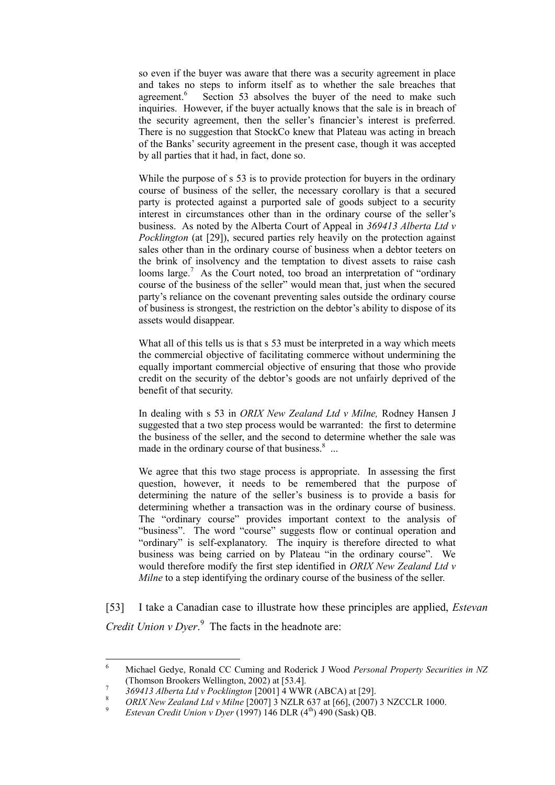so even if the buyer was aware that there was a security agreement in place and takes no steps to inform itself as to whether the sale breaches that agreement.<sup>6</sup> Section 53 absolves the buyer of the need to make such inquiries. However, if the buyer actually knows that the sale is in breach of the security agreement, then the seller's financier's interest is preferred. There is no suggestion that StockCo knew that Plateau was acting in breach of the Banks' security agreement in the present case, though it was accepted by all parties that it had, in fact, done so.

While the purpose of s 53 is to provide protection for buyers in the ordinary course of business of the seller, the necessary corollary is that a secured party is protected against a purported sale of goods subject to a security interest in circumstances other than in the ordinary course of the seller's business. As noted by the Alberta Court of Appeal in *369413 Alberta Ltd v Pocklington* (at [29]), secured parties rely heavily on the protection against sales other than in the ordinary course of business when a debtor teeters on the brink of insolvency and the temptation to divest assets to raise cash looms large.<sup>7</sup> As the Court noted, too broad an interpretation of "ordinary course of the business of the seller" would mean that, just when the secured party's reliance on the covenant preventing sales outside the ordinary course of business is strongest, the restriction on the debtor's ability to dispose of its assets would disappear.

<span id="page-16-0"></span>What all of this tells us is that s 53 must be interpreted in a way which meets the commercial objective of facilitating commerce without undermining the equally important commercial objective of ensuring that those who provide credit on the security of the debtor's goods are not unfairly deprived of the benefit of that security.

In dealing with s 53 in *ORIX New Zealand Ltd v Milne,* Rodney Hansen J suggested that a two step process would be warranted: the first to determine the business of the seller, and the second to determine whether the sale was made in the ordinary course of that business. $8 \dots$ 

We agree that this two stage process is appropriate. In assessing the first question, however, it needs to be remembered that the purpose of determining the nature of the seller's business is to provide a basis for determining whether a transaction was in the ordinary course of business. The "ordinary course" provides important context to the analysis of "business". The word "course" suggests flow or continual operation and "ordinary" is self-explanatory. The inquiry is therefore directed to what business was being carried on by Plateau "in the ordinary course". We would therefore modify the first step identified in *ORIX New Zealand Ltd v Milne* to a step identifying the ordinary course of the business of the seller.

[53] I take a Canadian case to illustrate how these principles are applied, *Estevan Credit Union v Dyer*. 9 The facts in the headnote are:

 $\overline{6}$ <sup>6</sup> Michael Gedye, Ronald CC Cuming and Roderick J Wood *Personal Property Securities in NZ*  (Thomson Brookers Wellington, 2002) at [53.4].

<sup>7</sup> *369413 Alberta Ltd v Pocklington* [2001] 4 WWR (ABCA) at [29].

<sup>8</sup> *ORIX New Zealand Ltd v Milne* [2007] 3 NZLR 637 at [66], (2007) 3 NZCCLR 1000.

Estevan Credit Union v Dyer (1997) 146 DLR (4<sup>th</sup>) 490 (Sask) QB.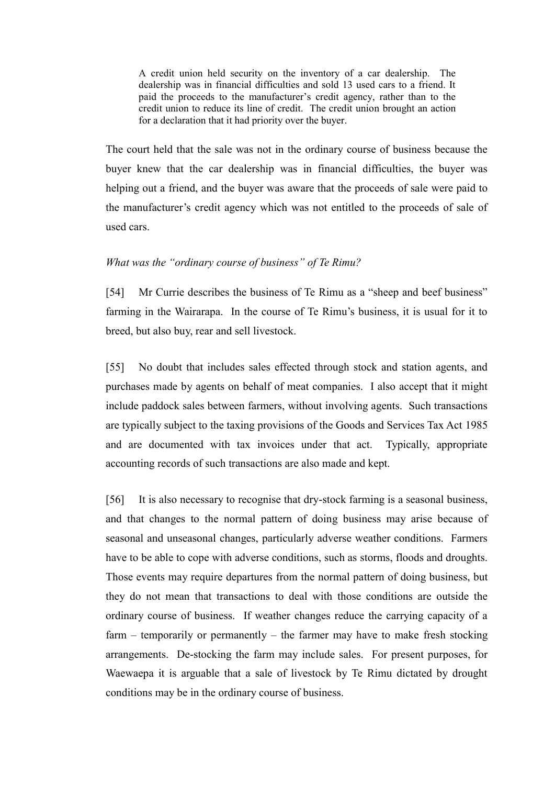A credit union held security on the inventory of a car dealership. The dealership was in financial difficulties and sold 13 used cars to a friend. It paid the proceeds to the manufacturer's credit agency, rather than to the credit union to reduce its line of credit. The credit union brought an action for a declaration that it had priority over the buyer.

The court held that the sale was not in the ordinary course of business because the buyer knew that the car dealership was in financial difficulties, the buyer was helping out a friend, and the buyer was aware that the proceeds of sale were paid to the manufacturer's credit agency which was not entitled to the proceeds of sale of used cars.

### *What was the "ordinary course of business" of Te Rimu?*

[54] Mr Currie describes the business of Te Rimu as a "sheep and beef business" farming in the Wairarapa. In the course of Te Rimu's business, it is usual for it to breed, but also buy, rear and sell livestock.

[55] No doubt that includes sales effected through stock and station agents, and purchases made by agents on behalf of meat companies. I also accept that it might include paddock sales between farmers, without involving agents. Such transactions are typically subject to the taxing provisions of the Goods and Services Tax Act 1985 and are documented with tax invoices under that act. Typically, appropriate accounting records of such transactions are also made and kept.

[56] It is also necessary to recognise that dry-stock farming is a seasonal business, and that changes to the normal pattern of doing business may arise because of seasonal and unseasonal changes, particularly adverse weather conditions. Farmers have to be able to cope with adverse conditions, such as storms, floods and droughts. Those events may require departures from the normal pattern of doing business, but they do not mean that transactions to deal with those conditions are outside the ordinary course of business. If weather changes reduce the carrying capacity of a farm – temporarily or permanently – the farmer may have to make fresh stocking arrangements. De-stocking the farm may include sales. For present purposes, for Waewaepa it is arguable that a sale of livestock by Te Rimu dictated by drought conditions may be in the ordinary course of business.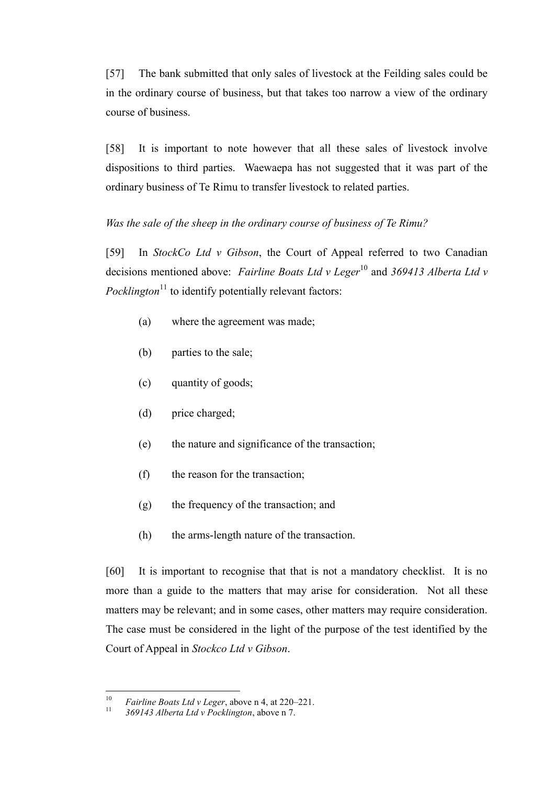[57] The bank submitted that only sales of livestock at the Feilding sales could be in the ordinary course of business, but that takes too narrow a view of the ordinary course of business.

[58] It is important to note however that all these sales of livestock involve dispositions to third parties. Waewaepa has not suggested that it was part of the ordinary business of Te Rimu to transfer livestock to related parties.

## *Was the sale of the sheep in the ordinary course of business of Te Rimu?*

[59] In *StockCo Ltd v Gibson*, the Court of Appeal referred to two Canadian decisions mentioned above: *Fairline Boats Ltd v Leger*<sup>10</sup> and 369413 Alberta Ltd v *Pocklington*<sup>11</sup> to identify potentially relevant factors:

- (a) where the agreement was made;
- (b) parties to the sale;
- (c) quantity of goods;
- (d) price charged;
- (e) the nature and significance of the transaction;
- (f) the reason for the transaction;
- (g) the frequency of the transaction; and
- (h) the arms-length nature of the transaction.

[60] It is important to recognise that that is not a mandatory checklist. It is no more than a guide to the matters that may arise for consideration. Not all these matters may be relevant; and in some cases, other matters may require consideration. The case must be considered in the light of the purpose of the test identified by the Court of Appeal in *Stockco Ltd v Gibson*.

 $10$ <sup>10</sup> *Fairline Boats Ltd v Leger*, above n [4,](#page-15-1) at 220–221.

<sup>11</sup> *369143 Alberta Ltd v Pocklington*, above [n 7.](#page-16-0)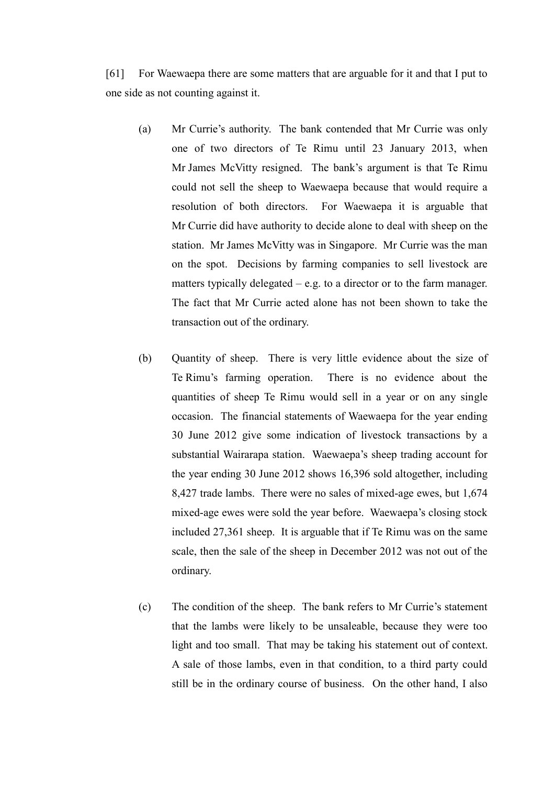[61] For Waewaepa there are some matters that are arguable for it and that I put to one side as not counting against it.

- (a) Mr Currie's authority. The bank contended that Mr Currie was only one of two directors of Te Rimu until 23 January 2013, when Mr James McVitty resigned. The bank's argument is that Te Rimu could not sell the sheep to Waewaepa because that would require a resolution of both directors. For Waewaepa it is arguable that Mr Currie did have authority to decide alone to deal with sheep on the station. Mr James McVitty was in Singapore. Mr Currie was the man on the spot. Decisions by farming companies to sell livestock are matters typically delegated – e.g. to a director or to the farm manager. The fact that Mr Currie acted alone has not been shown to take the transaction out of the ordinary.
- (b) Quantity of sheep. There is very little evidence about the size of Te Rimu's farming operation. There is no evidence about the quantities of sheep Te Rimu would sell in a year or on any single occasion. The financial statements of Waewaepa for the year ending 30 June 2012 give some indication of livestock transactions by a substantial Wairarapa station. Waewaepa's sheep trading account for the year ending 30 June 2012 shows 16,396 sold altogether, including 8,427 trade lambs. There were no sales of mixed-age ewes, but 1,674 mixed-age ewes were sold the year before. Waewaepa's closing stock included 27,361 sheep. It is arguable that if Te Rimu was on the same scale, then the sale of the sheep in December 2012 was not out of the ordinary.
- (c) The condition of the sheep. The bank refers to Mr Currie's statement that the lambs were likely to be unsaleable, because they were too light and too small. That may be taking his statement out of context. A sale of those lambs, even in that condition, to a third party could still be in the ordinary course of business. On the other hand, I also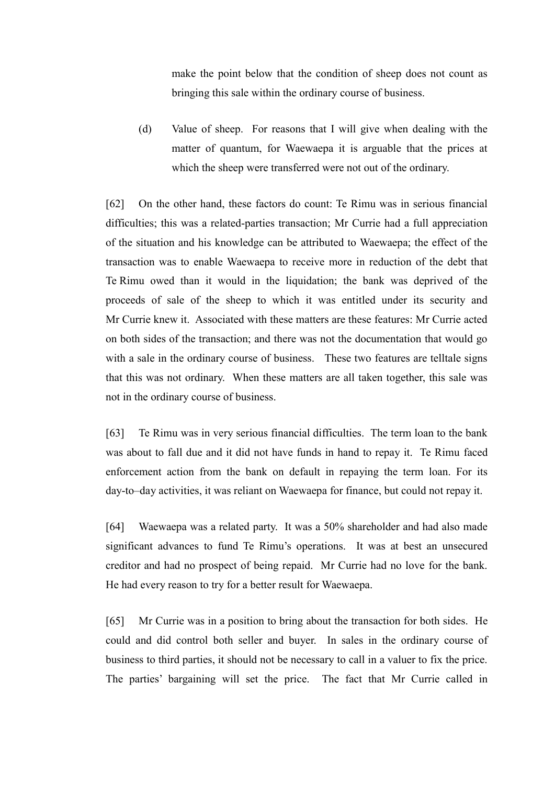make the point below that the condition of sheep does not count as bringing this sale within the ordinary course of business.

(d) Value of sheep. For reasons that I will give when dealing with the matter of quantum, for Waewaepa it is arguable that the prices at which the sheep were transferred were not out of the ordinary.

[62] On the other hand, these factors do count: Te Rimu was in serious financial difficulties; this was a related-parties transaction; Mr Currie had a full appreciation of the situation and his knowledge can be attributed to Waewaepa; the effect of the transaction was to enable Waewaepa to receive more in reduction of the debt that Te Rimu owed than it would in the liquidation; the bank was deprived of the proceeds of sale of the sheep to which it was entitled under its security and Mr Currie knew it. Associated with these matters are these features: Mr Currie acted on both sides of the transaction; and there was not the documentation that would go with a sale in the ordinary course of business. These two features are telltale signs that this was not ordinary. When these matters are all taken together, this sale was not in the ordinary course of business.

[63] Te Rimu was in very serious financial difficulties. The term loan to the bank was about to fall due and it did not have funds in hand to repay it. Te Rimu faced enforcement action from the bank on default in repaying the term loan. For its day-to–day activities, it was reliant on Waewaepa for finance, but could not repay it.

[64] Waewaepa was a related party. It was a 50% shareholder and had also made significant advances to fund Te Rimu's operations. It was at best an unsecured creditor and had no prospect of being repaid. Mr Currie had no love for the bank. He had every reason to try for a better result for Waewaepa.

[65] Mr Currie was in a position to bring about the transaction for both sides. He could and did control both seller and buyer. In sales in the ordinary course of business to third parties, it should not be necessary to call in a valuer to fix the price. The parties' bargaining will set the price. The fact that Mr Currie called in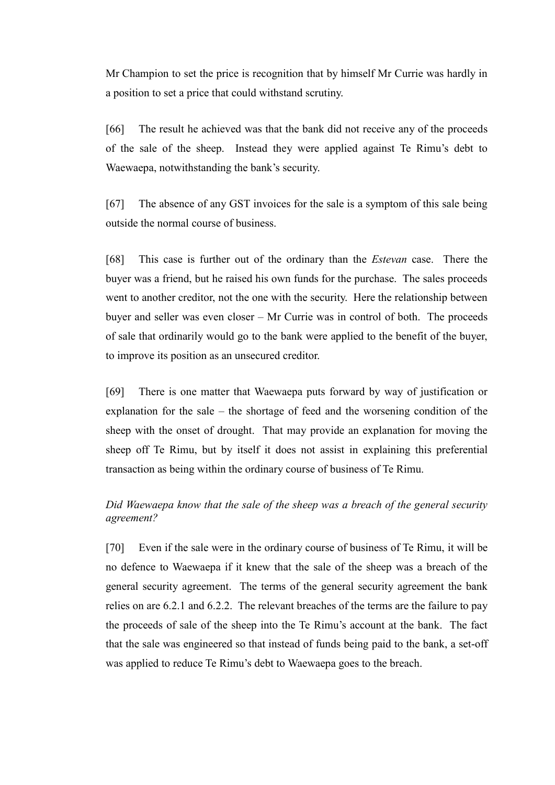Mr Champion to set the price is recognition that by himself Mr Currie was hardly in a position to set a price that could withstand scrutiny.

[66] The result he achieved was that the bank did not receive any of the proceeds of the sale of the sheep. Instead they were applied against Te Rimu's debt to Waewaepa, notwithstanding the bank's security.

[67] The absence of any GST invoices for the sale is a symptom of this sale being outside the normal course of business.

[68] This case is further out of the ordinary than the *Estevan* case. There the buyer was a friend, but he raised his own funds for the purchase. The sales proceeds went to another creditor, not the one with the security. Here the relationship between buyer and seller was even closer – Mr Currie was in control of both. The proceeds of sale that ordinarily would go to the bank were applied to the benefit of the buyer, to improve its position as an unsecured creditor.

[69] There is one matter that Waewaepa puts forward by way of justification or explanation for the sale – the shortage of feed and the worsening condition of the sheep with the onset of drought. That may provide an explanation for moving the sheep off Te Rimu, but by itself it does not assist in explaining this preferential transaction as being within the ordinary course of business of Te Rimu.

## *Did Waewaepa know that the sale of the sheep was a breach of the general security agreement?*

[70] Even if the sale were in the ordinary course of business of Te Rimu, it will be no defence to Waewaepa if it knew that the sale of the sheep was a breach of the general security agreement. The terms of the general security agreement the bank relies on are 6.2.1 and 6.2.2. The relevant breaches of the terms are the failure to pay the proceeds of sale of the sheep into the Te Rimu's account at the bank. The fact that the sale was engineered so that instead of funds being paid to the bank, a set-off was applied to reduce Te Rimu's debt to Waewaepa goes to the breach.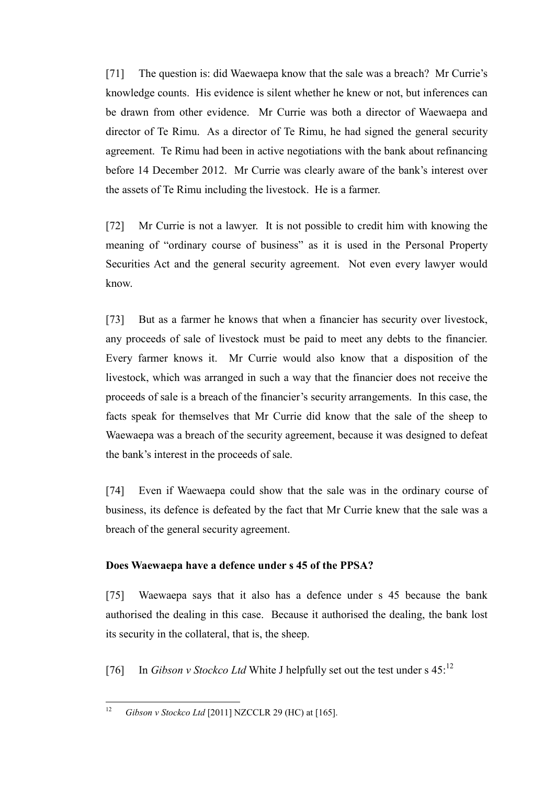[71] The question is: did Waewaepa know that the sale was a breach? Mr Currie's knowledge counts. His evidence is silent whether he knew or not, but inferences can be drawn from other evidence. Mr Currie was both a director of Waewaepa and director of Te Rimu. As a director of Te Rimu, he had signed the general security agreement. Te Rimu had been in active negotiations with the bank about refinancing before 14 December 2012. Mr Currie was clearly aware of the bank's interest over the assets of Te Rimu including the livestock. He is a farmer.

[72] Mr Currie is not a lawyer. It is not possible to credit him with knowing the meaning of "ordinary course of business" as it is used in the Personal Property Securities Act and the general security agreement. Not even every lawyer would know.

[73] But as a farmer he knows that when a financier has security over livestock, any proceeds of sale of livestock must be paid to meet any debts to the financier. Every farmer knows it. Mr Currie would also know that a disposition of the livestock, which was arranged in such a way that the financier does not receive the proceeds of sale is a breach of the financier's security arrangements. In this case, the facts speak for themselves that Mr Currie did know that the sale of the sheep to Waewaepa was a breach of the security agreement, because it was designed to defeat the bank's interest in the proceeds of sale.

[74] Even if Waewaepa could show that the sale was in the ordinary course of business, its defence is defeated by the fact that Mr Currie knew that the sale was a breach of the general security agreement.

## **Does Waewaepa have a defence under s 45 of the PPSA?**

[75] Waewaepa says that it also has a defence under s 45 because the bank authorised the dealing in this case. Because it authorised the dealing, the bank lost its security in the collateral, that is, the sheep.

[76] In *Gibson v Stockco Ltd* White J helpfully set out the test under s 45:<sup>12</sup>

 $12$ <sup>12</sup> *Gibson v Stockco Ltd* [2011] NZCCLR 29 (HC) at [165].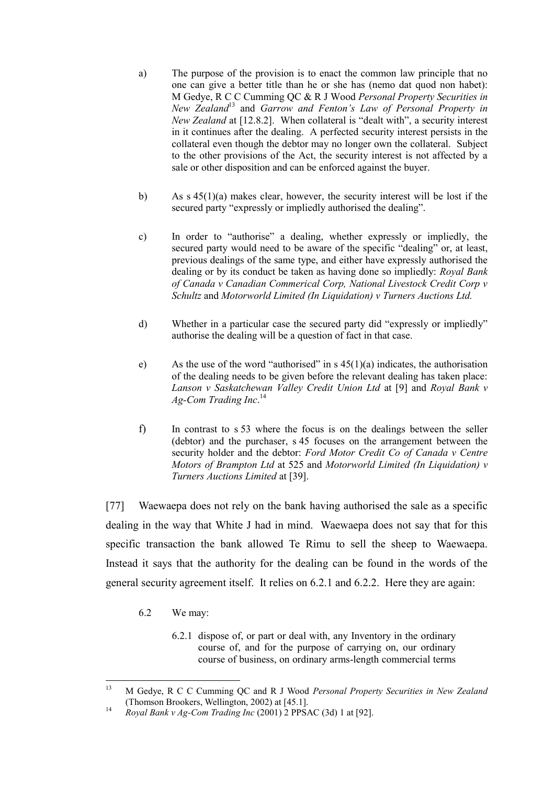- a) The purpose of the provision is to enact the common law principle that no one can give a better title than he or she has (nemo dat quod non habet): M Gedye, R C C Cumming QC & R J Wood *Personal Property Securities in New Zealand*<sup>13</sup> and *Garrow and Fenton's Law of Personal Property in New Zealand* at [12.8.2]. When collateral is "dealt with", a security interest in it continues after the dealing. A perfected security interest persists in the collateral even though the debtor may no longer own the collateral. Subject to the other provisions of the Act, the security interest is not affected by a sale or other disposition and can be enforced against the buyer.
- b) As  $s$  45(1)(a) makes clear, however, the security interest will be lost if the secured party "expressly or impliedly authorised the dealing".
- c) In order to "authorise" a dealing, whether expressly or impliedly, the secured party would need to be aware of the specific "dealing" or, at least, previous dealings of the same type, and either have expressly authorised the dealing or by its conduct be taken as having done so impliedly: *Royal Bank of Canada v Canadian Commerical Corp, National Livestock Credit Corp v Schultz* and *Motorworld Limited (In Liquidation) v Turners Auctions Ltd.*
- d) Whether in a particular case the secured party did "expressly or impliedly" authorise the dealing will be a question of fact in that case.
- e) As the use of the word "authorised" in s  $45(1)(a)$  indicates, the authorisation of the dealing needs to be given before the relevant dealing has taken place: *Lanson v Saskatchewan Valley Credit Union Ltd* at [9] and *Royal Bank v Ag-Com Trading Inc*. 14
- f) In contrast to s 53 where the focus is on the dealings between the seller (debtor) and the purchaser, s 45 focuses on the arrangement between the security holder and the debtor: *Ford Motor Credit Co of Canada v Centre Motors of Brampton Ltd* at 525 and *Motorworld Limited (In Liquidation) v Turners Auctions Limited* at [39].

[77] Waewaepa does not rely on the bank having authorised the sale as a specific dealing in the way that White J had in mind. Waewaepa does not say that for this specific transaction the bank allowed Te Rimu to sell the sheep to Waewaepa. Instead it says that the authority for the dealing can be found in the words of the general security agreement itself. It relies on 6.2.1 and 6.2.2. Here they are again:

- 6.2 We may:
	- 6.2.1 dispose of, or part or deal with, any Inventory in the ordinary course of, and for the purpose of carrying on, our ordinary course of business, on ordinary arms-length commercial terms

 $13$ <sup>13</sup> M Gedye, R C C Cumming QC and R J Wood *Personal Property Securities in New Zealand* (Thomson Brookers, Wellington, 2002) at [45.1].

<sup>14</sup> *Royal Bank v Ag-Com Trading Inc* (2001) 2 PPSAC (3d) 1 at [92].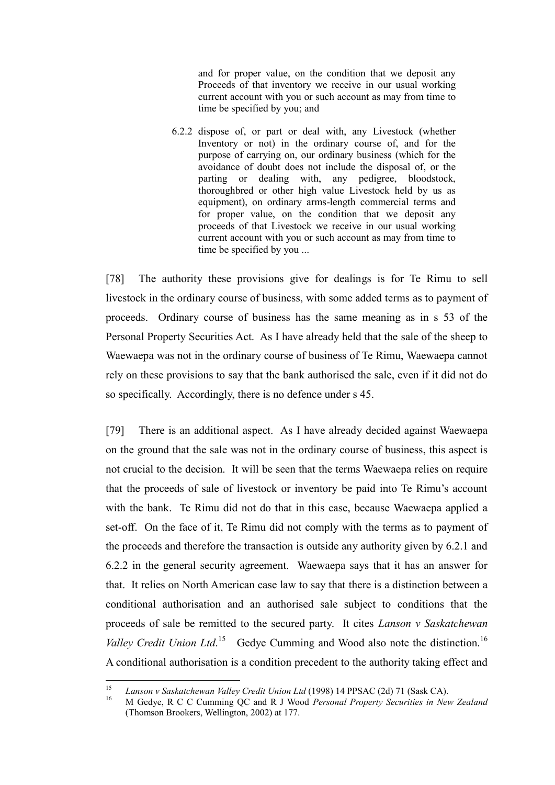and for proper value, on the condition that we deposit any Proceeds of that inventory we receive in our usual working current account with you or such account as may from time to time be specified by you; and

6.2.2 dispose of, or part or deal with, any Livestock (whether Inventory or not) in the ordinary course of, and for the purpose of carrying on, our ordinary business (which for the avoidance of doubt does not include the disposal of, or the parting or dealing with, any pedigree, bloodstock, thoroughbred or other high value Livestock held by us as equipment), on ordinary arms-length commercial terms and for proper value, on the condition that we deposit any proceeds of that Livestock we receive in our usual working current account with you or such account as may from time to time be specified by you ...

[78] The authority these provisions give for dealings is for Te Rimu to sell livestock in the ordinary course of business, with some added terms as to payment of proceeds. Ordinary course of business has the same meaning as in s 53 of the Personal Property Securities Act. As I have already held that the sale of the sheep to Waewaepa was not in the ordinary course of business of Te Rimu, Waewaepa cannot rely on these provisions to say that the bank authorised the sale, even if it did not do so specifically. Accordingly, there is no defence under s 45.

[79] There is an additional aspect. As I have already decided against Waewaepa on the ground that the sale was not in the ordinary course of business, this aspect is not crucial to the decision. It will be seen that the terms Waewaepa relies on require that the proceeds of sale of livestock or inventory be paid into Te Rimu's account with the bank. Te Rimu did not do that in this case, because Waewaepa applied a set-off. On the face of it, Te Rimu did not comply with the terms as to payment of the proceeds and therefore the transaction is outside any authority given by 6.2.1 and 6.2.2 in the general security agreement. Waewaepa says that it has an answer for that. It relies on North American case law to say that there is a distinction between a conditional authorisation and an authorised sale subject to conditions that the proceeds of sale be remitted to the secured party. It cites *Lanson v Saskatchewan Valley Credit Union Ltd.*<sup>15</sup> Gedye Cumming and Wood also note the distinction.<sup>16</sup> A conditional authorisation is a condition precedent to the authority taking effect and

<sup>15</sup> <sup>15</sup> *Lanson v Saskatchewan Valley Credit Union Ltd* (1998) 14 PPSAC (2d) 71 (Sask CA).

<sup>16</sup> M Gedye, R C C Cumming QC and R J Wood *Personal Property Securities in New Zealand* (Thomson Brookers, Wellington, 2002) at 177.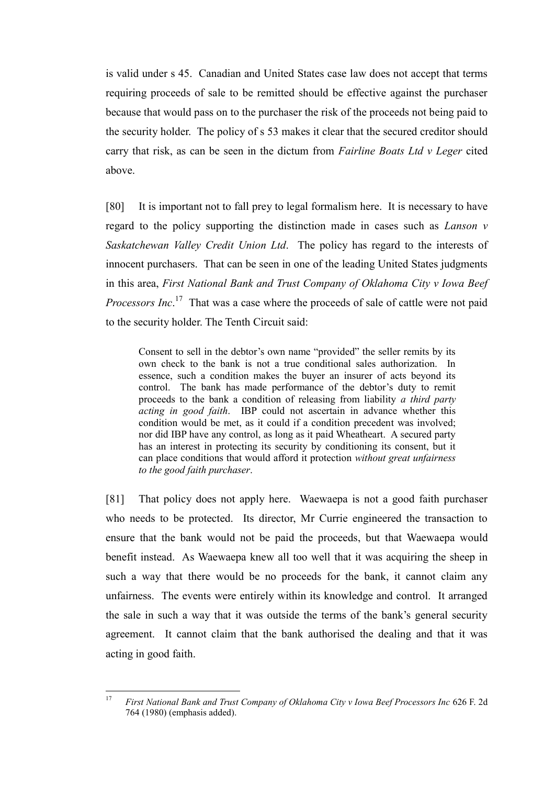is valid under s 45. Canadian and United States case law does not accept that terms requiring proceeds of sale to be remitted should be effective against the purchaser because that would pass on to the purchaser the risk of the proceeds not being paid to the security holder. The policy of s 53 makes it clear that the secured creditor should carry that risk, as can be seen in the dictum from *Fairline Boats Ltd v Leger* cited above.

[80] It is important not to fall prey to legal formalism here. It is necessary to have regard to the policy supporting the distinction made in cases such as *Lanson v Saskatchewan Valley Credit Union Ltd*. The policy has regard to the interests of innocent purchasers. That can be seen in one of the leading United States judgments in this area, *First National Bank and Trust Company of Oklahoma City v Iowa Beef Processors Inc.*<sup>17</sup> That was a case where the proceeds of sale of cattle were not paid to the security holder. The Tenth Circuit said:

Consent to sell in the debtor's own name "provided" the seller remits by its own check to the bank is not a true conditional sales authorization. In essence, such a condition makes the buyer an insurer of acts beyond its control. The bank has made performance of the debtor's duty to remit proceeds to the bank a condition of releasing from liability *a third party acting in good faith*. IBP could not ascertain in advance whether this condition would be met, as it could if a condition precedent was involved; nor did IBP have any control, as long as it paid Wheatheart. A secured party has an interest in protecting its security by conditioning its consent, but it can place conditions that would afford it protection *without great unfairness to the good faith purchaser*.

[81] That policy does not apply here. Waewaepa is not a good faith purchaser who needs to be protected. Its director, Mr Currie engineered the transaction to ensure that the bank would not be paid the proceeds, but that Waewaepa would benefit instead. As Waewaepa knew all too well that it was acquiring the sheep in such a way that there would be no proceeds for the bank, it cannot claim any unfairness. The events were entirely within its knowledge and control. It arranged the sale in such a way that it was outside the terms of the bank's general security agreement. It cannot claim that the bank authorised the dealing and that it was acting in good faith.

 $17$ <sup>17</sup> *First National Bank and Trust Company of Oklahoma City v Iowa Beef Processors Inc* 626 F. 2d 764 (1980) (emphasis added).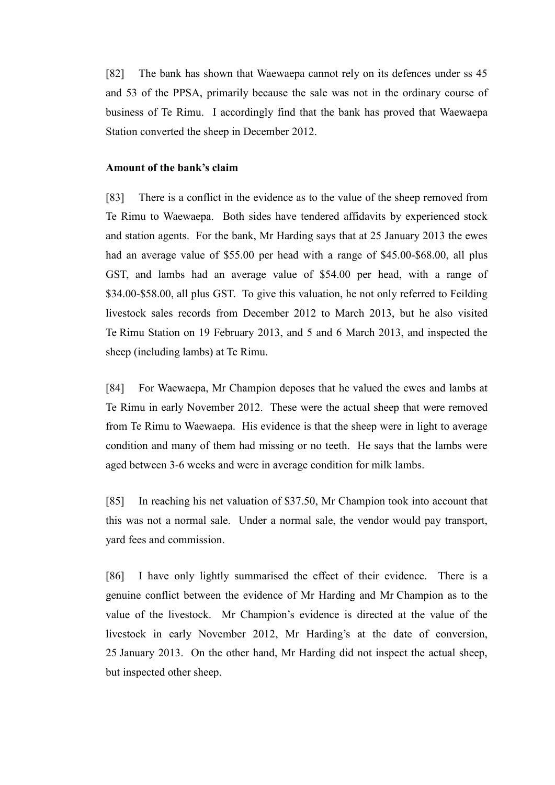[82] The bank has shown that Waewaepa cannot rely on its defences under ss 45 and 53 of the PPSA, primarily because the sale was not in the ordinary course of business of Te Rimu. I accordingly find that the bank has proved that Waewaepa Station converted the sheep in December 2012.

#### **Amount of the bank's claim**

[83] There is a conflict in the evidence as to the value of the sheep removed from Te Rimu to Waewaepa. Both sides have tendered affidavits by experienced stock and station agents. For the bank, Mr Harding says that at 25 January 2013 the ewes had an average value of \$55.00 per head with a range of \$45.00-\$68.00, all plus GST, and lambs had an average value of \$54.00 per head, with a range of \$34.00-\$58.00, all plus GST. To give this valuation, he not only referred to Feilding livestock sales records from December 2012 to March 2013, but he also visited Te Rimu Station on 19 February 2013, and 5 and 6 March 2013, and inspected the sheep (including lambs) at Te Rimu.

[84] For Waewaepa, Mr Champion deposes that he valued the ewes and lambs at Te Rimu in early November 2012. These were the actual sheep that were removed from Te Rimu to Waewaepa. His evidence is that the sheep were in light to average condition and many of them had missing or no teeth. He says that the lambs were aged between 3-6 weeks and were in average condition for milk lambs.

[85] In reaching his net valuation of \$37.50, Mr Champion took into account that this was not a normal sale. Under a normal sale, the vendor would pay transport, yard fees and commission.

[86] I have only lightly summarised the effect of their evidence. There is a genuine conflict between the evidence of Mr Harding and Mr Champion as to the value of the livestock. Mr Champion's evidence is directed at the value of the livestock in early November 2012, Mr Harding's at the date of conversion, 25 January 2013. On the other hand, Mr Harding did not inspect the actual sheep, but inspected other sheep.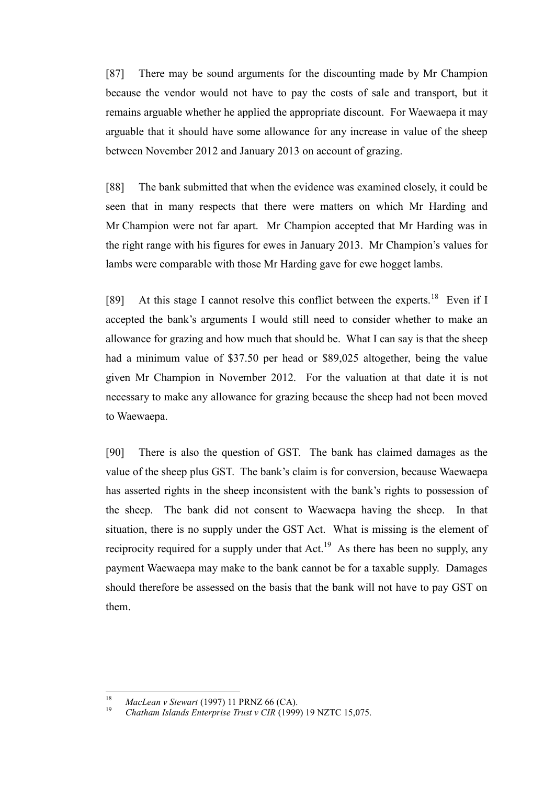[87] There may be sound arguments for the discounting made by Mr Champion because the vendor would not have to pay the costs of sale and transport, but it remains arguable whether he applied the appropriate discount. For Waewaepa it may arguable that it should have some allowance for any increase in value of the sheep between November 2012 and January 2013 on account of grazing.

[88] The bank submitted that when the evidence was examined closely, it could be seen that in many respects that there were matters on which Mr Harding and Mr Champion were not far apart. Mr Champion accepted that Mr Harding was in the right range with his figures for ewes in January 2013. Mr Champion's values for lambs were comparable with those Mr Harding gave for ewe hogget lambs.

[89] At this stage I cannot resolve this conflict between the experts.<sup>18</sup> Even if I accepted the bank's arguments I would still need to consider whether to make an allowance for grazing and how much that should be. What I can say is that the sheep had a minimum value of \$37.50 per head or \$89,025 altogether, being the value given Mr Champion in November 2012. For the valuation at that date it is not necessary to make any allowance for grazing because the sheep had not been moved to Waewaepa.

[90] There is also the question of GST. The bank has claimed damages as the value of the sheep plus GST. The bank's claim is for conversion, because Waewaepa has asserted rights in the sheep inconsistent with the bank's rights to possession of the sheep. The bank did not consent to Waewaepa having the sheep. In that situation, there is no supply under the GST Act. What is missing is the element of reciprocity required for a supply under that  $Act.^{19}$  As there has been no supply, any payment Waewaepa may make to the bank cannot be for a taxable supply. Damages should therefore be assessed on the basis that the bank will not have to pay GST on them.

<sup>18</sup> <sup>18</sup> *MacLean v Stewart* (1997) 11 PRNZ 66 (CA).

<sup>19</sup> *Chatham Islands Enterprise Trust v CIR* (1999) 19 NZTC 15,075.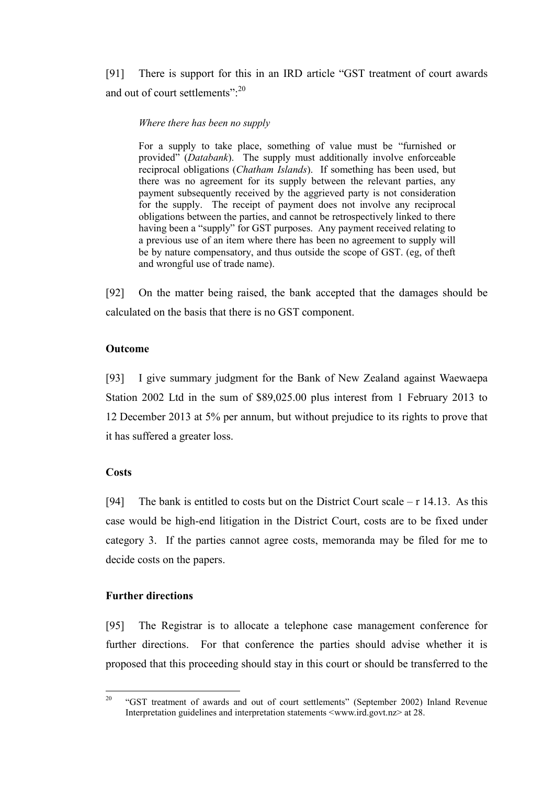[91] There is support for this in an IRD article "GST treatment of court awards and out of court settlements":<sup>20</sup>

#### *Where there has been no supply*

For a supply to take place, something of value must be "furnished or provided" (*Databank*). The supply must additionally involve enforceable reciprocal obligations (*Chatham Islands*). If something has been used, but there was no agreement for its supply between the relevant parties, any payment subsequently received by the aggrieved party is not consideration for the supply. The receipt of payment does not involve any reciprocal obligations between the parties, and cannot be retrospectively linked to there having been a "supply" for GST purposes. Any payment received relating to a previous use of an item where there has been no agreement to supply will be by nature compensatory, and thus outside the scope of GST. (eg, of theft and wrongful use of trade name).

[92] On the matter being raised, the bank accepted that the damages should be calculated on the basis that there is no GST component.

#### **Outcome**

[93] I give summary judgment for the Bank of New Zealand against Waewaepa Station 2002 Ltd in the sum of \$89,025.00 plus interest from 1 February 2013 to 12 December 2013 at 5% per annum, but without prejudice to its rights to prove that it has suffered a greater loss.

#### **Costs**

[94] The bank is entitled to costs but on the District Court scale – r 14.13. As this case would be high-end litigation in the District Court, costs are to be fixed under category 3. If the parties cannot agree costs, memoranda may be filed for me to decide costs on the papers.

#### **Further directions**

[95] The Registrar is to allocate a telephone case management conference for further directions. For that conference the parties should advise whether it is proposed that this proceeding should stay in this court or should be transferred to the

 $20$ <sup>20</sup> "GST treatment of awards and out of court settlements" (September 2002) Inland Revenue Interpretation guidelines and interpretation statements <www.ird.govt.nz> at 28.